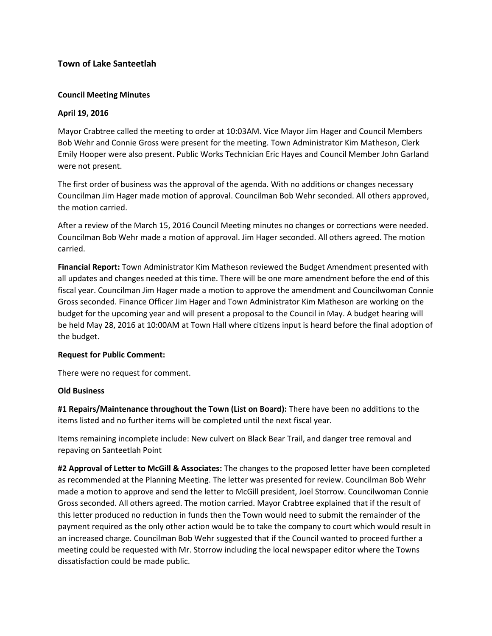# **Town of Lake Santeetlah**

## **Council Meeting Minutes**

## **April 19, 2016**

Mayor Crabtree called the meeting to order at 10:03AM. Vice Mayor Jim Hager and Council Members Bob Wehr and Connie Gross were present for the meeting. Town Administrator Kim Matheson, Clerk Emily Hooper were also present. Public Works Technician Eric Hayes and Council Member John Garland were not present.

The first order of business was the approval of the agenda. With no additions or changes necessary Councilman Jim Hager made motion of approval. Councilman Bob Wehr seconded. All others approved, the motion carried.

After a review of the March 15, 2016 Council Meeting minutes no changes or corrections were needed. Councilman Bob Wehr made a motion of approval. Jim Hager seconded. All others agreed. The motion carried.

**Financial Report:** Town Administrator Kim Matheson reviewed the Budget Amendment presented with all updates and changes needed at this time. There will be one more amendment before the end of this fiscal year. Councilman Jim Hager made a motion to approve the amendment and Councilwoman Connie Gross seconded. Finance Officer Jim Hager and Town Administrator Kim Matheson are working on the budget for the upcoming year and will present a proposal to the Council in May. A budget hearing will be held May 28, 2016 at 10:00AM at Town Hall where citizens input is heard before the final adoption of the budget.

#### **Request for Public Comment:**

There were no request for comment.

#### **Old Business**

**#1 Repairs/Maintenance throughout the Town (List on Board):** There have been no additions to the items listed and no further items will be completed until the next fiscal year.

Items remaining incomplete include: New culvert on Black Bear Trail, and danger tree removal and repaving on Santeetlah Point

**#2 Approval of Letter to McGill & Associates:** The changes to the proposed letter have been completed as recommended at the Planning Meeting. The letter was presented for review. Councilman Bob Wehr made a motion to approve and send the letter to McGill president, Joel Storrow. Councilwoman Connie Gross seconded. All others agreed. The motion carried. Mayor Crabtree explained that if the result of this letter produced no reduction in funds then the Town would need to submit the remainder of the payment required as the only other action would be to take the company to court which would result in an increased charge. Councilman Bob Wehr suggested that if the Council wanted to proceed further a meeting could be requested with Mr. Storrow including the local newspaper editor where the Towns dissatisfaction could be made public.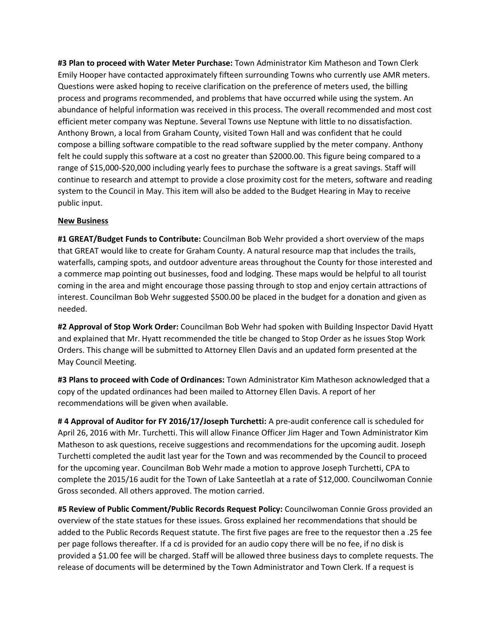**#3 Plan to proceed with Water Meter Purchase:** Town Administrator Kim Matheson and Town Clerk Emily Hooper have contacted approximately fifteen surrounding Towns who currently use AMR meters. Questions were asked hoping to receive clarification on the preference of meters used, the billing process and programs recommended, and problems that have occurred while using the system. An abundance of helpful information was received in this process. The overall recommended and most cost efficient meter company was Neptune. Several Towns use Neptune with little to no dissatisfaction. Anthony Brown, a local from Graham County, visited Town Hall and was confident that he could compose a billing software compatible to the read software supplied by the meter company. Anthony felt he could supply this software at a cost no greater than \$2000.00. This figure being compared to a range of \$15,000-\$20,000 including yearly fees to purchase the software is a great savings. Staff will continue to research and attempt to provide a close proximity cost for the meters, software and reading system to the Council in May. This item will also be added to the Budget Hearing in May to receive public input.

#### **New Business**

**#1 GREAT/Budget Funds to Contribute:** Councilman Bob Wehr provided a short overview of the maps that GREAT would like to create for Graham County. A natural resource map that includes the trails, waterfalls, camping spots, and outdoor adventure areas throughout the County for those interested and a commerce map pointing out businesses, food and lodging. These maps would be helpful to all tourist coming in the area and might encourage those passing through to stop and enjoy certain attractions of interest. Councilman Bob Wehr suggested \$500.00 be placed in the budget for a donation and given as needed.

**#2 Approval of Stop Work Order:** Councilman Bob Wehr had spoken with Building Inspector David Hyatt and explained that Mr. Hyatt recommended the title be changed to Stop Order as he issues Stop Work Orders. This change will be submitted to Attorney Ellen Davis and an updated form presented at the May Council Meeting.

**#3 Plans to proceed with Code of Ordinances:** Town Administrator Kim Matheson acknowledged that a copy of the updated ordinances had been mailed to Attorney Ellen Davis. A report of her recommendations will be given when available.

**# 4 Approval of Auditor for FY 2016/17/Joseph Turchetti:** A pre-audit conference call is scheduled for April 26, 2016 with Mr. Turchetti. This will allow Finance Officer Jim Hager and Town Administrator Kim Matheson to ask questions, receive suggestions and recommendations for the upcoming audit. Joseph Turchetti completed the audit last year for the Town and was recommended by the Council to proceed for the upcoming year. Councilman Bob Wehr made a motion to approve Joseph Turchetti, CPA to complete the 2015/16 audit for the Town of Lake Santeetlah at a rate of \$12,000. Councilwoman Connie Gross seconded. All others approved. The motion carried.

**#5 Review of Public Comment/Public Records Request Policy:** Councilwoman Connie Gross provided an overview of the state statues for these issues. Gross explained her recommendations that should be added to the Public Records Request statute. The first five pages are free to the requestor then a .25 fee per page follows thereafter. If a cd is provided for an audio copy there will be no fee, if no disk is provided a \$1.00 fee will be charged. Staff will be allowed three business days to complete requests. The release of documents will be determined by the Town Administrator and Town Clerk. If a request is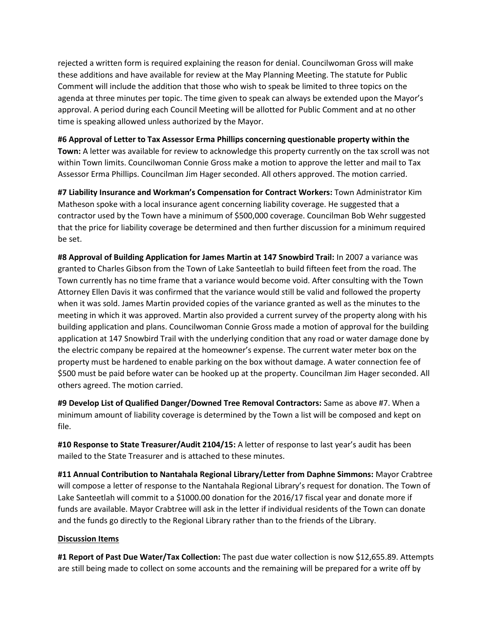rejected a written form is required explaining the reason for denial. Councilwoman Gross will make these additions and have available for review at the May Planning Meeting. The statute for Public Comment will include the addition that those who wish to speak be limited to three topics on the agenda at three minutes per topic. The time given to speak can always be extended upon the Mayor's approval. A period during each Council Meeting will be allotted for Public Comment and at no other time is speaking allowed unless authorized by the Mayor.

## **#6 Approval of Letter to Tax Assessor Erma Phillips concerning questionable property within the**

**Town:** A letter was available for review to acknowledge this property currently on the tax scroll was not within Town limits. Councilwoman Connie Gross make a motion to approve the letter and mail to Tax Assessor Erma Phillips. Councilman Jim Hager seconded. All others approved. The motion carried.

**#7 Liability Insurance and Workman's Compensation for Contract Workers:** Town Administrator Kim Matheson spoke with a local insurance agent concerning liability coverage. He suggested that a contractor used by the Town have a minimum of \$500,000 coverage. Councilman Bob Wehr suggested that the price for liability coverage be determined and then further discussion for a minimum required be set.

**#8 Approval of Building Application for James Martin at 147 Snowbird Trail:** In 2007 a variance was granted to Charles Gibson from the Town of Lake Santeetlah to build fifteen feet from the road. The Town currently has no time frame that a variance would become void. After consulting with the Town Attorney Ellen Davis it was confirmed that the variance would still be valid and followed the property when it was sold. James Martin provided copies of the variance granted as well as the minutes to the meeting in which it was approved. Martin also provided a current survey of the property along with his building application and plans. Councilwoman Connie Gross made a motion of approval for the building application at 147 Snowbird Trail with the underlying condition that any road or water damage done by the electric company be repaired at the homeowner's expense. The current water meter box on the property must be hardened to enable parking on the box without damage. A water connection fee of \$500 must be paid before water can be hooked up at the property. Councilman Jim Hager seconded. All others agreed. The motion carried.

**#9 Develop List of Qualified Danger/Downed Tree Removal Contractors:** Same as above #7. When a minimum amount of liability coverage is determined by the Town a list will be composed and kept on file.

**#10 Response to State Treasurer/Audit 2104/15:** A letter of response to last year's audit has been mailed to the State Treasurer and is attached to these minutes.

**#11 Annual Contribution to Nantahala Regional Library/Letter from Daphne Simmons:** Mayor Crabtree will compose a letter of response to the Nantahala Regional Library's request for donation. The Town of Lake Santeetlah will commit to a \$1000.00 donation for the 2016/17 fiscal year and donate more if funds are available. Mayor Crabtree will ask in the letter if individual residents of the Town can donate and the funds go directly to the Regional Library rather than to the friends of the Library.

#### **Discussion Items**

**#1 Report of Past Due Water/Tax Collection:** The past due water collection is now \$12,655.89. Attempts are still being made to collect on some accounts and the remaining will be prepared for a write off by